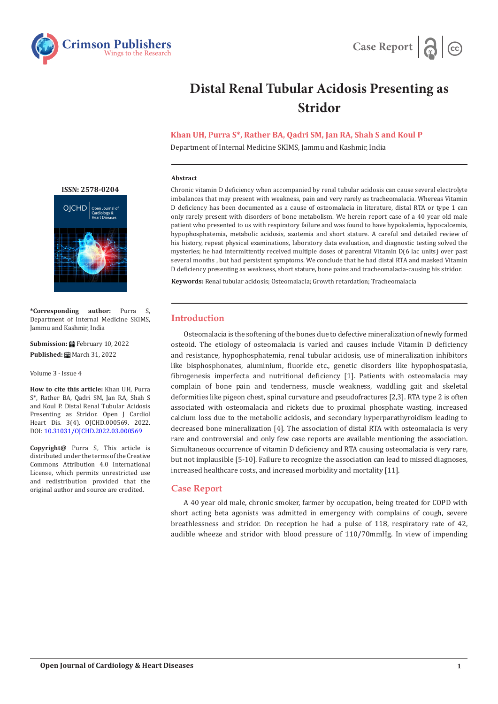



# **Distal Renal Tubular Acidosis Presenting as Stridor**

# **Khan UH, Purra S\*, Rather BA, Qadri SM, Jan RA, Shah S and Koul P**

Department of Internal Medicine SKIMS, Jammu and Kashmir, India

#### **Abstract**

Chronic vitamin D deficiency when accompanied by renal tubular acidosis can cause several electrolyte imbalances that may present with weakness, pain and very rarely as tracheomalacia. Whereas Vitamin D deficiency has been documented as a cause of osteomalacia in literature, distal RTA or type 1 can only rarely present with disorders of bone metabolism. We herein report case of a 40 year old male patient who presented to us with respiratory failure and was found to have hypokalemia, hypocalcemia, hypophosphatemia, metabolic acidosis, azotemia and short stature. A careful and detailed review of his history, repeat physical examinations, laboratory data evaluation, and diagnostic testing solved the mysteries; he had intermittently received multiple doses of parentral Vitamin D(6 lac units) over past several months , but had persistent symptoms. We conclude that he had distal RTA and masked Vitamin D deficiency presenting as weakness, short stature, bone pains and tracheomalacia-causing his stridor.

**Keywords:** Renal tubular acidosis; Osteomalacia; Growth retardation; Tracheomalacia

### **Introduction**

Osteomalacia is the softening of the bones due to defective mineralization of newly formed osteoid. The etiology of osteomalacia is varied and causes include Vitamin D deficiency and resistance, hypophosphatemia, renal tubular acidosis, use of mineralization inhibitors like bisphosphonates, aluminium, fluoride etc., genetic disorders like hypophospatasia, fibrogenesis imperfecta and nutritional deficiency [1]. Patients with osteomalacia may complain of bone pain and tenderness, muscle weakness, waddling gait and skeletal deformities like pigeon chest, spinal curvature and pseudofractures [2,3]. RTA type 2 is often associated with osteomalacia and rickets due to proximal phosphate wasting, increased calcium loss due to the metabolic acidosis, and secondary hyperparathyroidism leading to decreased bone mineralization [4]. The association of distal RTA with osteomalacia is very rare and controversial and only few case reports are available mentioning the association. Simultaneous occurrence of vitamin D deficiency and RTA causing osteomalacia is very rare, but not implausible [5-10]. Failure to recognize the association can lead to missed diagnoses, increased healthcare costs, and increased morbidity and mortality [11].

## **Case Report**

A 40 year old male, chronic smoker, farmer by occupation, being treated for COPD with short acting beta agonists was admitted in emergency with complains of cough, severe breathlessness and stridor. On reception he had a pulse of 118, respiratory rate of 42, audible wheeze and stridor with blood pressure of 110/70mmHg. In view of impending

**[ISSN: 2578-0204](https://crimsonpublishers.com/ojchd)**



**\*Corresponding author:** Purra S, Department of Internal Medicine SKIMS, Jammu and Kashmir, India

**Submission:** February 10, 2022 Published: **■** March 31, 2022

Volume 3 - Issue 4

**How to cite this article:** Khan UH, Purra S\*, Rather BA, Qadri SM, Jan RA, Shah S and Koul P. Distal Renal Tubular Acidosis Presenting as Stridor. Open J Cardiol Heart Dis. 3(4). OJCHD.000569. 2022. DOI: [10.31031/OJCHD.2022.03.000569](http://dx.doi.org/10.31031/OJCHD.2022.03.000569)

**Copyright@** Purra S, This article is distributed under the terms of the Creative Commons Attribution 4.0 International License, which permits unrestricted use and redistribution provided that the original author and source are credited.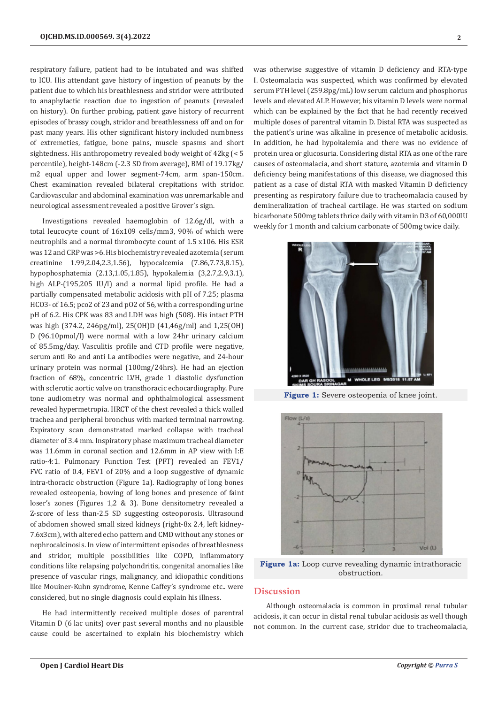respiratory failure, patient had to be intubated and was shifted to ICU. His attendant gave history of ingestion of peanuts by the patient due to which his breathlesness and stridor were attributed to anaphylactic reaction due to ingestion of peanuts (revealed on history). On further probing, patient gave history of recurrent episodes of brassy cough, stridor and breathlessness off and on for past many years. His other significant history included numbness of extremeties, fatigue, bone pains, muscle spasms and short sightedness. His anthropometry revealed body weight of 42kg (< 5 percentile), height-148cm (-2.3 SD from average), BMI of 19.17kg/ m2 equal upper and lower segment-74cm, arm span-150cm. Chest examination revealed bilateral crepitations with stridor. Cardiovascular and abdominal examination was unremarkable and neurological assessment revealed a positive Grover's sign.

Investigations revealed haemoglobin of 12.6g/dl, with a total leucocyte count of 16x109 cells/mm3, 90% of which were neutrophils and a normal thrombocyte count of 1.5 x106. His ESR was 12 and CRP was >6. His biochemistry revealed azotemia (serum creatinine 1.99,2.04,2.3,1.56), hypocalcemia (7.86,7.73,8.15), hypophosphatemia (2.13,1.05,1.85), hypokalemia (3,2.7,2.9,3.1), high ALP-(195,205 IU/l) and a normal lipid profile. He had a partially compensated metabolic acidosis with pH of 7.25; plasma HCO3- of 16.5; pco2 of 23 and pO2 of 56, with a corresponding urine pH of 6.2. His CPK was 83 and LDH was high (508). His intact PTH was high (374.2, 246pg/ml), 25(OH)D (41,46g/ml) and 1,25(OH) D (96.10pmol/l) were normal with a low 24hr urinary calcium of 85.5mg/day. Vasculitis profile and CTD profile were negative, serum anti Ro and anti La antibodies were negative, and 24-hour urinary protein was normal (100mg/24hrs). He had an ejection fraction of 68%, concentric LVH, grade 1 diastolic dysfunction with sclerotic aortic valve on transthoracic echocardiography. Pure tone audiometry was normal and ophthalmological assessment revealed hypermetropia. HRCT of the chest revealed a thick walled trachea and peripheral bronchus with marked terminal narrowing. Expiratory scan demonstrated marked collapse with tracheal diameter of 3.4 mm. Inspiratory phase maximum tracheal diameter was 11.6mm in coronal section and 12.6mm in AP view with I:E ratio-4:1. Pulmonary Function Test (PFT) revealed an FEV1/ FVC ratio of 0.4, FEV1 of 20% and a loop suggestive of dynamic intra-thoracic obstruction (Figure 1a). Radiography of long bones revealed osteopenia, bowing of long bones and presence of faint loser's zones (Figures 1,2 & 3). Bone densitometry revealed a Z-score of less than-2.5 SD suggesting osteoporosis. Ultrasound of abdomen showed small sized kidneys (right-8x 2.4, left kidney-7.6x3cm), with altered echo pattern and CMD without any stones or nephrocalcinosis. In view of intermittent episodes of breathlesness and stridor, multiple possibilities like COPD, inflammatory conditions like relapsing polychondritis, congenital anomalies like presence of vascular rings, malignancy, and idiopathic conditions like Mouiner-Kuhn syndrome, Kenne Caffey's syndrome etc.. were considered, but no single diagnosis could explain his illness.

He had intermittently received multiple doses of parentral Vitamin D (6 lac units) over past several months and no plausible cause could be ascertained to explain his biochemistry which

was otherwise suggestive of vitamin D deficiency and RTA-type I. Osteomalacia was suspected, which was confirmed by elevated serum PTH level (259.8pg/mL) low serum calcium and phosphorus levels and elevated ALP. However, his vitamin D levels were normal which can be explained by the fact that he had recently received multiple doses of parentral vitamin D. Distal RTA was suspected as the patient's urine was alkaline in presence of metabolic acidosis. In addition, he had hypokalemia and there was no evidence of protein urea or glucosuria. Considering distal RTA as one of the rare causes of osteomalacia, and short stature, azotemia and vitamin D deficiency being manifestations of this disease, we diagnosed this patient as a case of distal RTA with masked Vitamin D deficiency presenting as respiratory failure due to tracheomalacia caused by demineralization of tracheal cartilage. He was started on sodium bicarbonate 500mg tablets thrice daily with vitamin D3 of 60,000IU weekly for 1 month and calcium carbonate of 500mg twice daily.



**Figure 1:** Severe osteopenia of knee joint.



**Figure 1a:** Loop curve revealing dynamic intrathoracic obstruction.

#### **Discussion**

Although osteomalacia is common in proximal renal tubular acidosis, it can occur in distal renal tubular acidosis as well though not common. In the current case, stridor due to tracheomalacia,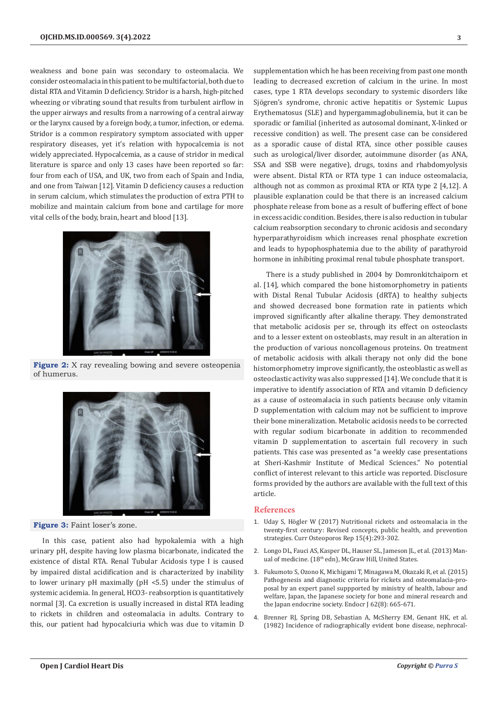weakness and bone pain was secondary to osteomalacia. We consider osteomalacia in this patient to be multifactorial, both due to distal RTA and Vitamin D deficiency. Stridor is a harsh, high-pitched wheezing or vibrating sound that results from turbulent airflow in the upper airways and results from a narrowing of a central airway or the larynx caused by a foreign body, a tumor, infection, or edema. Stridor is a common respiratory symptom associated with upper respiratory diseases, yet it's relation with hypocalcemia is not widely appreciated. Hypocalcemia, as a cause of stridor in medical literature is sparce and only 13 cases have been reported so far: four from each of USA, and UK, two from each of Spain and India, and one from Taiwan [12]. Vitamin D deficiency causes a reduction in serum calcium, which stimulates the production of extra PTH to mobilize and maintain calcium from bone and cartilage for more vital cells of the body, brain, heart and blood [13].



**Figure 2:** X ray revealing bowing and severe osteopenia of humerus.



**Figure 3:** Faint loser's zone.

In this case, patient also had hypokalemia with a high urinary pH, despite having low plasma bicarbonate, indicated the existence of distal RTA. Renal Tubular Acidosis type I is caused by impaired distal acidification and is characterized by inability to lower urinary pH maximally (pH <5.5) under the stimulus of systemic acidemia. In general, HCO3- reabsorption is quantitatively normal [3]. Ca excretion is usually increased in distal RTA leading to rickets in children and osteomalacia in adults. Contrary to this, our patient had hypocalciuria which was due to vitamin D

supplementation which he has been receiving from past one month leading to decreased excretion of calcium in the urine. In most cases, type 1 RTA develops secondary to systemic disorders like Sjögren's syndrome, chronic active hepatitis or Systemic Lupus Erythematosus (SLE) and hypergammaglobulinemia, but it can be sporadic or familial (inherited as autosomal dominant, X-linked or recessive condition) as well. The present case can be considered as a sporadic cause of distal RTA, since other possible causes such as urological/liver disorder, autoimmune disorder (as ANA, SSA and SSB were negative), drugs, toxins and rhabdomyolysis were absent. Distal RTA or RTA type 1 can induce osteomalacia, although not as common as proximal RTA or RTA type 2 [4,12]. A plausible explanation could be that there is an increased calcium phosphate release from bone as a result of buffering effect of bone in excess acidic condition. Besides, there is also reduction in tubular calcium reabsorption secondary to chronic acidosis and secondary hyperparathyroidism which increases renal phosphate excretion and leads to hypophosphatemia due to the ability of parathyroid hormone in inhibiting proximal renal tubule phosphate transport.

There is a study published in 2004 by Domronkitchaiporn et al. [14], which compared the bone histomorphometry in patients with Distal Renal Tubular Acidosis (dRTA) to healthy subjects and showed decreased bone formation rate in patients which improved significantly after alkaline therapy. They demonstrated that metabolic acidosis per se, through its effect on osteoclasts and to a lesser extent on osteoblasts, may result in an alteration in the production of various noncollagenous proteins. On treatment of metabolic acidosis with alkali therapy not only did the bone histomorphometry improve significantly, the osteoblastic as well as osteoclastic activity was also suppressed [14]. We conclude that it is imperative to identify association of RTA and vitamin D deficiency as a cause of osteomalacia in such patients because only vitamin D supplementation with calcium may not be sufficient to improve their bone mineralization. Metabolic acidosis needs to be corrected with regular sodium bicarbonate in addition to recommended vitamin D supplementation to ascertain full recovery in such patients. This case was presented as "a weekly case presentations at Sheri-Kashmir Institute of Medical Sciences." No potential conflict of interest relevant to this article was reported. Disclosure forms provided by the authors are available with the full text of this article.

#### **References**

- 1. Uday S, Högler W (2017) Nutritional rickets and osteomalacia in the twenty-first century: Revised concepts, public health, and prevention strategies. Curr Osteoporos Rep 15(4):293-302.
- 2. Longo DL, Fauci AS, Kasper DL, Hauser SL, Jameson JL, et al. (2013) Manual of medicine. (18<sup>th</sup> edn), McGraw Hill, United States.
- 3. Fukumoto S, Ozono K, Michigami T, Minagawa M, Okazaki R, et al. (2015) Pathogenesis and diagnostic criteria for rickets and osteomalacia-proposal by an expert panel suppported by ministry of health, labour and welfare, Japan, the Japanese society for bone and mineral research and the Japan endocrine society. Endocr J 62(8): 665-671.
- 4. Brenner RJ, Spring DB, Sebastian A, McSherry EM, Genant HK, et al. (1982) Incidence of radiographically evident bone disease, nephrocal-